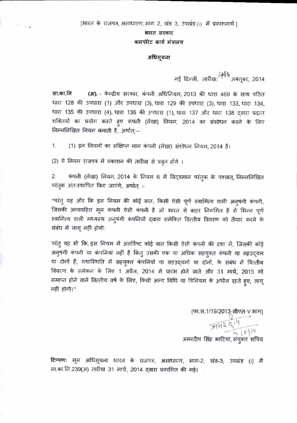[भारत के राजपत्र, असाधारण, भाग 2, खंड 3, उपखंड (i) में प्रकाशनार्थ |

भारत सरकार

## कारपोरेट कार्य मंत्रालय

## अधिसूचना

नई दिल्ली, तारीख:  $44\%$ अक्तूबर, 2014

सा.का.नि (अ). - केन्द्रीय सरकार, कंपनी अधिनियम, 2013 की धारा 469 के साथ पठित धारा 128 की उपधारा (1) और उपधारा (3), धारा 129 की उपधारा (3), धारा 133, धारा 134, धारा 135 की उपधारा (4), धारा 136 की उपधारा (1), धारा 137 और धारा 138 दवारा प्रदत्त शक्तियों का प्रयोग करते हुए कंपनी (लेखा) नियम, 2014 का संशोधन करने के लिए निम्नलिखित नियम बनाती है, अर्थात्:--

(1) इन नियमों का संक्षिप्त नाम कंपनी (लेखा) संशोधन नियम, 2014 है।  $1.$ 

(2) ये नियम राजपत्र में प्रकाशन की तारीख से प्रवृत होंगे ।

कंपनी (लेखा) नियम, 2014 के नियम 6 में विद्यमान परंतुक के पश्चात्, निम्नलिखित 2. परंतक अंत:स्थापित किए जाएंगे, अर्थात् :-

"परंतु यह और कि इस नियम की कोई बात, किसी ऐसी पूर्ण स्वामित्व वाली अनुषंगी कंपनी, जिसकी अव्यवहित मूल कंपनी ऐसी कंपनी है जो भारत से बाहर निगमित है से भिन्न पूर्ण स्वामित्व वाली मध्यस्थ अनुषंगी कंपनियों द्वारा समेकित वित्तीय विवरण को तैयार करने के संबंध में लागू नहीं होगी:

परंतु यह भी कि, इस नियम में अंतर्विष्ट कोई बात किसी ऐसी कंपनी की दशा में, जिसकी कोई अनुषंगी कंपनी या कंपनियां नहीं है किंतु उसकी एक या अधिक सहयुक्त कंपनी या सहउदयम या दोनों हैं, यथास्थिति में सहयुक्त कंपनियों या सहउद्यमों या दोनों, के संबंध में वित्तीय विवरण के समेकन के लिए 1 अप्रैल, 2014 से प्रारंभ होने वाले और 31 मार्च, 2015 को समाप्त होने वाले वित्तीय वर्ष के लिए, किसी अन्य विधि या विनियम के अधीन रहते हुए, लागू नहीं होगी।"

> [फा.स.1/19/2013-सीएल-V भाग]<br>प  $3151244$  $\frac{14}{14}$   $x$   $14$ अमरदीप सिंह भाटिया, संयुक्त सचिव

टिप्पणः मूल अधिसूचना भारत के राजपत्र, असाधारण, भाग-2, खंड-3, उपखंड (i) मैं सा.का.नि.239(अ) तारीख 31 मार्च, 2014 दवारा प्रकाशित की गई।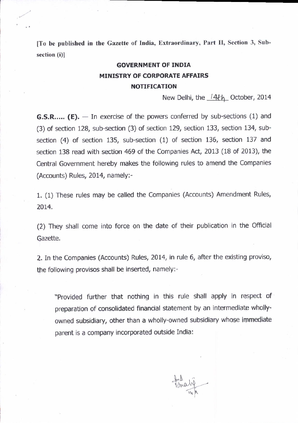[To be published in the Gazette of India, Extraordinary, Part II, Section 3, Subsection (i)]

## GOVERNMENT OF INDIA MINISTRY OF CORPORATE AFFAIRS NOTIFICATION

New Delhi, the 14th October, 2014

**G.S.R.....** (E).  $-$  In exercise of the powers conferred by sub-sections (1) and (3) of section 128, sub-section (3) of section 129, section 133, section 134, subsection (4) of section 135, sub-section (1) of section 136, section 137 and section 138 read with section 469 of the Companies Act, 2013 (18 of 2013), the Central Government hereby makes the following rules to amend the Companies (Accounts) Rules, 2014, namely:-

1. (1) These rules may be called the Companies (Accounts) Amendment Rules. 2014.

(2) They shall come into force on the date of their publication in the Official Gazette.

2. In the Companies (Accounts) Rules, 2014, in rule 6, after the exlsting proviso, the following provisos shall be inserted, namely:-

"Provided further that nothing in this rule shall apply in respect of preparation of consolidated financial statement by an intermediate whollyowned subsidiary, other than a wholly-owned subsidiary whose immediate parent is a company incorporated outside India:

 $H_{ab}$ Fraly -1,.